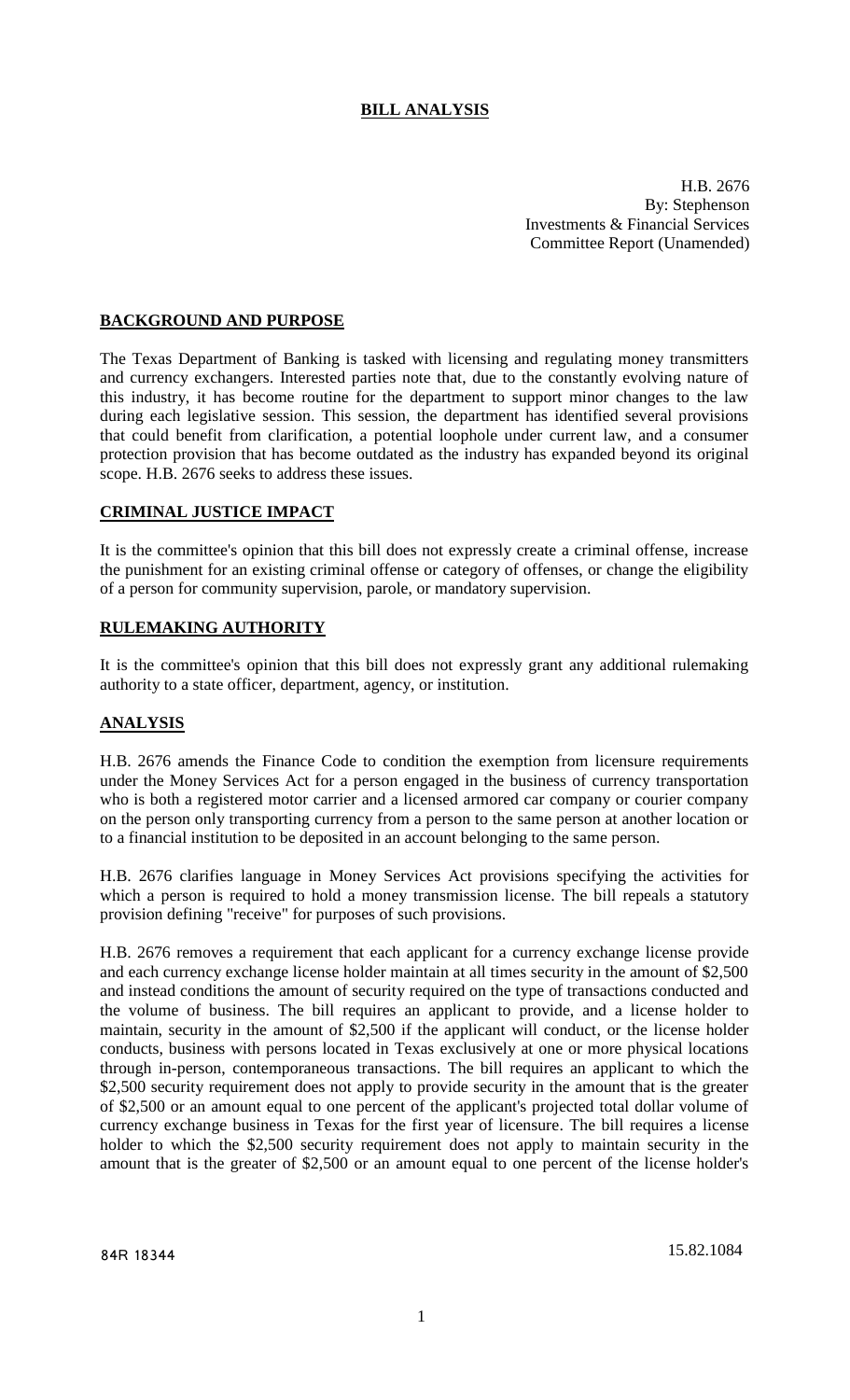## **BILL ANALYSIS**

H.B. 2676 By: Stephenson Investments & Financial Services Committee Report (Unamended)

## **BACKGROUND AND PURPOSE**

The Texas Department of Banking is tasked with licensing and regulating money transmitters and currency exchangers. Interested parties note that, due to the constantly evolving nature of this industry, it has become routine for the department to support minor changes to the law during each legislative session. This session, the department has identified several provisions that could benefit from clarification, a potential loophole under current law, and a consumer protection provision that has become outdated as the industry has expanded beyond its original scope. H.B. 2676 seeks to address these issues.

#### **CRIMINAL JUSTICE IMPACT**

It is the committee's opinion that this bill does not expressly create a criminal offense, increase the punishment for an existing criminal offense or category of offenses, or change the eligibility of a person for community supervision, parole, or mandatory supervision.

## **RULEMAKING AUTHORITY**

It is the committee's opinion that this bill does not expressly grant any additional rulemaking authority to a state officer, department, agency, or institution.

#### **ANALYSIS**

H.B. 2676 amends the Finance Code to condition the exemption from licensure requirements under the Money Services Act for a person engaged in the business of currency transportation who is both a registered motor carrier and a licensed armored car company or courier company on the person only transporting currency from a person to the same person at another location or to a financial institution to be deposited in an account belonging to the same person.

H.B. 2676 clarifies language in Money Services Act provisions specifying the activities for which a person is required to hold a money transmission license. The bill repeals a statutory provision defining "receive" for purposes of such provisions.

H.B. 2676 removes a requirement that each applicant for a currency exchange license provide and each currency exchange license holder maintain at all times security in the amount of \$2,500 and instead conditions the amount of security required on the type of transactions conducted and the volume of business. The bill requires an applicant to provide, and a license holder to maintain, security in the amount of \$2,500 if the applicant will conduct, or the license holder conducts, business with persons located in Texas exclusively at one or more physical locations through in-person, contemporaneous transactions. The bill requires an applicant to which the \$2,500 security requirement does not apply to provide security in the amount that is the greater of \$2,500 or an amount equal to one percent of the applicant's projected total dollar volume of currency exchange business in Texas for the first year of licensure. The bill requires a license holder to which the \$2,500 security requirement does not apply to maintain security in the amount that is the greater of \$2,500 or an amount equal to one percent of the license holder's

84R 18344 15.82.1084